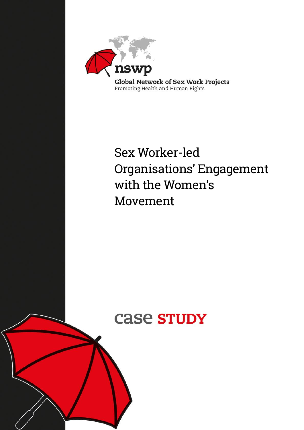

# Sex Worker-led Organisations' Engagement with the Women's Movement

# case **STUDY**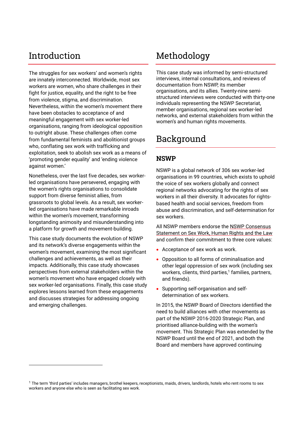# Introduction

The struggles for sex workers' and women's rights are innately interconnected. Worldwide, most sex workers are women, who share challenges in their fight for justice, equality, and the right to be free from violence, stigma, and discrimination. Nevertheless, within the women's movement there have been obstacles to acceptance of and meaningful engagement with sex worker-led organisations, ranging from ideological opposition to outright abuse. These challenges often come from fundamental feminists and abolitionist groups who, conflating sex work with trafficking and exploitation, seek to abolish sex work as a means of 'promoting gender equality' and 'ending violence against women.'

Nonetheless, over the last five decades, sex workerled organisations have persevered, engaging with the women's rights organisations to consolidate support from diverse feminist allies, from grassroots to global levels. As a result, sex workerled organisations have made remarkable inroads within the women's movement, transforming longstanding animosity and misunderstanding into a platform for growth and movement-building.

This case study documents the evolution of NSWP and its network's diverse engagements within the women's movement, examining the most significant challenges and achievements, as well as their impacts. Additionally, this case study showcases perspectives from external stakeholders within the women's movement who have engaged closely with sex worker-led organisations. Finally, this case study explores lessons learned from these engagements and discusses strategies for addressing ongoing and emerging challenges.

# Methodology

This case study was informed by semi-structured interviews, internal consultations, and reviews of documentation from NSWP, its member organisations, and its allies. Twenty-nine semistructured interviews were conducted with thirty-one individuals representing the NSWP Secretariat, member organisations, regional sex worker-led networks, and external stakeholders from within the women's and human rights movements.

# Background

### **NSWP**

NSWP is a global network of 306 sex worker-led organisations in 99 countries, which exists to uphold the voice of sex workers globally and connect regional networks advocating for the rights of sex workers in all their diversity. It advocates for rightsbased health and social services, freedom from abuse and discrimination, and self-determination for sex workers.

All NSWP members endorse the [NSWP Consensus](http://www.nswp.org/resource/nswp-consensus-statement-sex-work-human-rights-and-the-law)  [Statement on Sex Work, Human Rights and the Law](http://www.nswp.org/resource/nswp-consensus-statement-sex-work-human-rights-and-the-law) and confirm their commitment to three core values:

- Acceptance of sex work as work.
- Opposition to all forms of criminalisation and other legal oppression of sex work (including sex workers, clients, third parties,<sup>1</sup> families, partners, and friends).
- Supporting self-organisation and selfdetermination of sex workers.

In 2015, the NSWP Board of Directors identified the need to build alliances with other movements as part of the NSWP 2016-2020 Strategic Plan, and prioritised alliance-building with the women's movement. This Strategic Plan was extended by the NSWP Board until the end of 2021, and both the Board and members have approved continuing

<sup>&</sup>lt;sup>1</sup> The term 'third parties' includes managers, brothel keepers, receptionists, maids, drivers, landlords, hotels who rent rooms to sex workers and anyone else who is seen as facilitating sex work.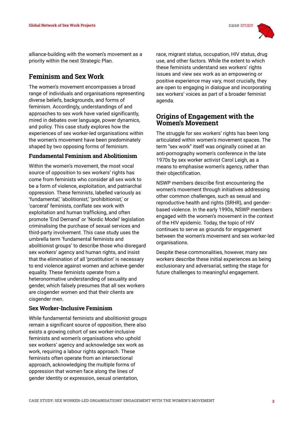

alliance-building with the women's movement as a priority within the next Strategic Plan.

### **Feminism and Sex Work**

The women's movement encompasses a broad range of individuals and organisations representing diverse beliefs, backgrounds, and forms of feminism. Accordingly, understandings of and approaches to sex work have varied significantly, mired in debates over language, power dynamics, and policy. This case study explores how the experiences of sex worker-led organisations within the women's movement have been predominately shaped by two opposing forms of feminism.

#### **Fundamental Feminism and Abolitionism**

Within the women's movement, the most vocal source of opposition to sex workers' rights has come from feminists who consider all sex work to be a form of violence, exploitation, and patriarchal oppression. These feminists, labelled variously as 'fundamental,' 'abolitionist,' 'prohibitionist,' or 'carceral' feminists, conflate sex work with exploitation and human trafficking, and often promote 'End Demand' or 'Nordic Model' legislation criminalising the purchase of sexual services and third-party involvement. This case study uses the umbrella term 'fundamental feminists and abolitionist groups' to describe those who disregard sex workers' agency and human rights, and insist that the elimination of all 'prostitution' is necessary to end violence against women and achieve gender equality. These feminists operate from a heteronormative understanding of sexuality and gender, which falsely presumes that all sex workers are cisgender women and that their clients are cisgender men.

#### **Sex Worker-Inclusive Feminism**

While fundamental feminists and abolitionist groups remain a significant source of opposition, there also exists a growing cohort of sex worker-inclusive feminists and women's organisations who uphold sex workers' agency and acknowledge sex work as work, requiring a labour rights approach. These feminists often operate from an intersectional approach, acknowledging the multiple forms of oppression that women face along the lines of gender identity or expression, sexual orientation,

race, migrant status, occupation, HIV status, drug use, and other factors. While the extent to which these feminists understand sex workers' rights issues and view sex work as an empowering or positive experience may vary, most crucially, they are open to engaging in dialogue and incorporating sex workers' voices as part of a broader feminist agenda.

#### **Origins of Engagement with the Women's Movement**

The struggle for sex workers' rights has been long articulated within women's movement spaces. The term "sex work" itself was originally coined at an anti-pornography women's conference in the late 1970s by sex worker activist Carol Leigh, as a means to emphasise women's agency, rather than their objectification.

NSWP members describe first encountering the women's movement through initiatives addressing other common challenges, such as sexual and reproductive health and rights (SRHR), and genderbased violence. In the early 1990s, NSWP members engaged with the women's movement in the context of the HIV epidemic. Today, the topic of HIV continues to serve as grounds for engagement between the women's movement and sex worker-led organisations.

Despite these commonalities, however, many sex workers describe these initial experiences as being exclusionary and adversarial, setting the stage for future challenges to meaningful engagement.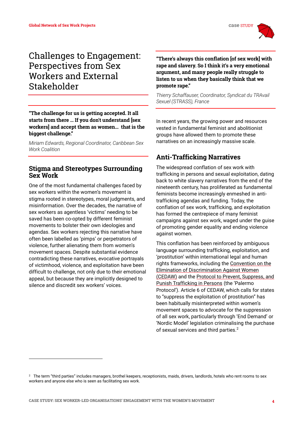# Challenges to Engagement: Perspectives from Sex Workers and External Stakeholder

**"The challenge for us is getting accepted. It all starts from there … If you don't understand [sex workers] and accept them as women… that is the biggest challenge."**

*Miriam Edwards, Regional Coordinator, Caribbean Sex Work Coalition*

#### **Stigma and Stereotypes Surrounding Sex Work**

One of the most fundamental challenges faced by sex workers within the women's movement is stigma rooted in stereotypes, moral judgments, and misinformation. Over the decades, the narrative of sex workers as agentless 'victims' needing to be saved has been co-opted by different feminist movements to bolster their own ideologies and agendas. Sex workers rejecting this narrative have often been labelled as 'pimps' or perpetrators of violence, further alienating them from women's movement spaces. Despite substantial evidence contradicting these narratives, evocative portrayals of victimhood, violence, and exploitation have been difficult to challenge, not only due to their emotional appeal, but because they are implicitly designed to silence and discredit sex workers' voices.

**"There's always this conflation [of sex work] with rape and slavery. So I think it's a very emotional argument, and many people really struggle to listen to us when they basically think that we promote rape."**

*Thierry Schaffauser, Coordinator, Syndicat du TRAvail Sexuel (STRASS), France*

In recent years, the growing power and resources vested in fundamental feminist and abolitionist groups have allowed them to promote these narratives on an increasingly massive scale.

### **Anti-Trafficking Narratives**

The widespread conflation of sex work with trafficking in persons and sexual exploitation, dating back to white slavery narratives from the end of the nineteenth century, has proliferated as fundamental feminists become increasingly enmeshed in antitrafficking agendas and funding. Today, the conflation of sex work, trafficking, and exploitation has formed the centrepiece of many feminist campaigns against sex work, waged under the guise of promoting gender equality and ending violence against women.

This conflation has been reinforced by ambiguous language surrounding trafficking, exploitation, and 'prostitution' within international legal and human rights frameworks, including th[e Convention on the](https://www.ohchr.org/en/professionalinterest/pages/cedaw.aspx)  [Elimination of Discrimination Against Women](https://www.ohchr.org/en/professionalinterest/pages/cedaw.aspx)  [\(CEDAW\)](https://www.ohchr.org/en/professionalinterest/pages/cedaw.aspx) and the [Protocol to Prevent, Suppress, and](https://www.ohchr.org/en/professionalinterest/pages/protocoltraffickinginpersons.aspx)  [Punish Trafficking in Persons](https://www.ohchr.org/en/professionalinterest/pages/protocoltraffickinginpersons.aspx) (the 'Palermo Protocol'). Article 6 of CEDAW, which calls for states to "suppress the exploitation of prostitution" has been habitually misinterpreted within women's movement spaces to advocate for the suppression of all sex work, particularly through 'End Demand' or 'Nordic Model' legislation criminalising the purchase of sexual services and third parties.<sup>2</sup>

 $^{\rm 2}~$  The term "third parties" includes managers, brothel keepers, receptionists, maids, drivers, landlords, hotels who rent rooms to sex workers and anyone else who is seen as facilitating sex work.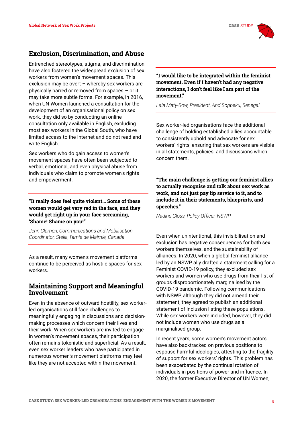

### **Exclusion, Discrimination, and Abuse**

Entrenched stereotypes, stigma, and discrimination have also fostered the widespread exclusion of sex workers from women's movement spaces. This exclusion may be overt – whereby sex workers are physically barred or removed from spaces – or it may take more subtle forms. For example, in 2016, when UN Women launched a consultation for the development of an organisational policy on sex work, they did so by conducting an online consultation only available in English, excluding most sex workers in the Global South, who have limited access to the Internet and do not read and write English.

Sex workers who do gain access to women's movement spaces have often been subjected to verbal, emotional, and even physical abuse from individuals who claim to promote women's rights and empowerment.

**"It really does feel quite violent… Some of these women would get very red in the face, and they would get right up in your face screaming, 'Shame! Shame on you!"**

*Jenn Clamen, Communications and Mobilisation Coordinator, Stella, l'amie de Maimie, Canada*

As a result, many women's movement platforms continue to be perceived as hostile spaces for sex workers.

#### **Maintaining Support and Meaningful Involvement**

Even in the absence of outward hostility, sex workerled organisations still face challenges to meaningfully engaging in discussions and decisionmaking processes which concern their lives and their work. When sex workers are invited to engage in women's movement spaces, their participation often remains tokenistic and superficial. As a result, even sex worker leaders who have participated in numerous women's movement platforms may feel like they are not accepted within the movement.

**"I would like to be integrated within the feminist movement. Even if I haven't had any negative interactions, I don't feel like I am part of the movement."**

*Lala Maty-Sow, President, And Soppeku, Senegal*

Sex worker-led organisations face the additional challenge of holding established allies accountable to consistently uphold and advocate for sex workers' rights, ensuring that sex workers are visible in all statements, policies, and discussions which concern them.

**"The main challenge is getting our feminist allies to actually recognise and talk about sex work as work, and not just pay lip service to it, and to include it in their statements, blueprints, and speeches."**

*Nadine Gloss, Policy Officer, NSWP*

Even when unintentional, this invisibilisation and exclusion has negative consequences for both sex workers themselves, and the sustainability of alliances. In 2020, when a global feminist alliance led by an NSWP ally drafted a statement calling for a Feminist COVID-19 policy, they excluded sex workers and women who use drugs from their list of groups disproportionately marginalised by the COVID-19 pandemic. Following communications with NSWP, although they did not amend their statement, they agreed to publish an additional statement of inclusion listing these populations. While sex workers were included, however, they did not include women who use drugs as a marginalised group.

In recent years, some women's movement actors have also backtracked on previous positions to espouse harmful ideologies, attesting to the fragility of support for sex workers' rights. This problem has been exacerbated by the continual rotation of individuals in positions of power and influence. In 2020, the former Executive Director of UN Women,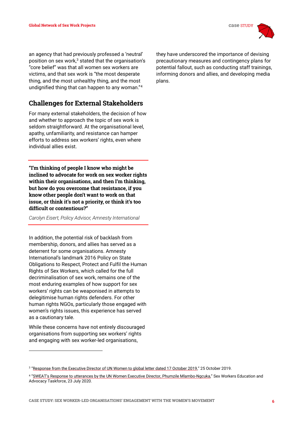

an agency that had previously professed a 'neutral' position on sex work, $3$  stated that the organisation's "core belief" was that all women sex workers are victims, and that sex work is "the most desperate thing, and the most unhealthy thing, and the most undignified thing that can happen to any woman."<sup>4</sup>

# **Challenges for External Stakeholders**

For many external stakeholders, the decision of how and whether to approach the topic of sex work is seldom straightforward. At the organisational level, apathy, unfamiliarity, and resistance can hamper efforts to address sex workers' rights, even where individual allies exist.

**"I'm thinking of people I know who might be inclined to advocate for work on sex worker rights within their organisations, and then I'm thinking, but how do you overcome that resistance, if you know other people don't want to work on that issue, or think it's not a priority, or think it's too difficult or contentious?"**

*Carolyn Eisert, Policy Advisor, Amnesty International*

In addition, the potential risk of backlash from membership, donors, and allies has served as a deterrent for some organisations. Amnesty International's landmark 2016 Policy on State Obligations to Respect, Protect and Fulfil the Human Rights of Sex Workers, which called for the full decriminalisation of sex work, remains one of the most enduring examples of how support for sex workers' rights can be weaponised in attempts to delegitimise human rights defenders. For other human rights NGOs, particularly those engaged with women's rights issues, this experience has served as a cautionary tale.

While these concerns have not entirely discouraged organisations from supporting sex workers' rights and engaging with sex worker-led organisations,

they have underscored the importance of devising precautionary measures and contingency plans for potential fallout, such as conducting staff trainings, informing donors and allies, and developing media plans.

<sup>&</sup>lt;sup>3</sup> "[Response from the Executive Director of UN Women to global letter dated 17 October 2019](https://www.passblue.com/wp-content/uploads/2019/11/Global-Letter-from-UN-Women-Executive-Director-re-Beijing25-and-Generation-Equality-Forum.pdf)," 25 October 2019.

<sup>4</sup> ["SWEAT's Response to utterances by the UN Women Executive Director, Phumzile Mlambo](http://www.sweat.org.za/2020/07/23/sweats-response-to-utterances-by-the-un-women-executive-director-phumzile-mlambo-ngcuka/)-Ngcuka," Sex Workers Education and Advocacy Taskforce, 23 July 2020.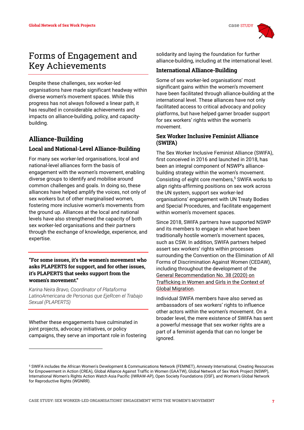

# Forms of Engagement and Key Achievements

Despite these challenges, sex worker-led organisations have made significant headway within diverse women's movement spaces. While this progress has not always followed a linear path, it has resulted in considerable achievements and impacts on alliance-building, policy, and capacitybuilding.

## **Alliance-Building**

#### **Local and National-Level Alliance-Building**

For many sex worker-led organisations, local and national-level alliances form the basis of engagement with the women's movement, enabling diverse groups to identify and mobilise around common challenges and goals. In doing so, these alliances have helped amplify the voices, not only of sex workers but of other marginalised women, fostering more inclusive women's movements from the ground up. Alliances at the local and national levels have also strengthened the capacity of both sex worker-led organisations and their partners through the exchange of knowledge, experience, and expertise.

#### **"For some issues, it's the women's movement who asks PLAPERTS for support, and for other issues, it's PLAPERTS that seeks support from the women's movement."**

*Karina Neira Bravo, Coordinator of Plataforma LatinoAmericana de Personas que EjeRcen el Trabajo Sexual (PLAPERTS)*

Whether these engagements have culminated in joint projects, advocacy initiatives, or policy campaigns, they serve an important role in fostering

solidarity and laying the foundation for further alliance-building, including at the international level.

#### **International Alliance-Building**

Some of sex worker-led organisations' most significant gains within the women's movement have been facilitated through alliance-building at the international level. These alliances have not only facilitated access to critical advocacy and policy platforms, but have helped garner broader support for sex workers' rights within the women's movement.

#### **Sex Worker Inclusive Feminist Alliance (SWIFA)**

The Sex Worker Inclusive Feminist Alliance (SWIFA), first conceived in 2016 and launched in 2018, has been an integral component of NSWP's alliancebuilding strategy within the women's movement. Consisting of eight core members,<sup>5</sup> SWIFA works to align rights-affirming positions on sex work across the UN system, support sex worker-led organisations' engagement with UN Treaty Bodies and Special Procedures, and facilitate engagement within women's movement spaces.

Since 2018, SWIFA partners have supported NSWP and its members to engage in what have been traditionally hostile women's movement spaces, such as CSW. In addition, SWIFA partners helped assert sex workers' rights within processes surrounding the Convention on the Elimination of All Forms of Discrimination Against Women (CEDAW), including throughout the development of the [General Recommendation No. 38 \(2020\) on](https://www.ohchr.org/EN/HRBodies/CEDAW/Pages/Recommendations.aspx)  [Trafficking in Women and Girls in the Context of](https://www.ohchr.org/EN/HRBodies/CEDAW/Pages/Recommendations.aspx)  [Global Migration.](https://www.ohchr.org/EN/HRBodies/CEDAW/Pages/Recommendations.aspx) 

Individual SWIFA members have also served as ambassadors of sex workers' rights to influence other actors within the women's movement. On a broader level, the mere existence of SWIFA has sent a powerful message that sex worker rights are a part of a feminist agenda that can no longer be ignored.

<sup>5</sup> SWIFA includes the African Women's Development & Communications Network (FEMNET), Amnesty International, Creating Resources for Empowerment in Action (CREA), Global Alliance Against Traffic in Women (GAATW), Global Network of Sex Work Project (NSWP), International Women's Rights Action Watch Asia Pacific (IWRAW-AP), Open Society Foundations (OSF), and Women's Global Network for Reproductive Rights (WGNRR).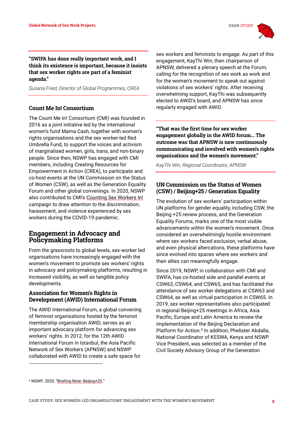

**"SWIFA has done really important work, and I think its existence is important, because it insists that sex worker rights are part of a feminist agenda."** 

*Susana Fried, Director of Global Programmes, CREA*

#### **Count Me In! Consortium**

The Count Me In! Consortium (CMI) was founded in 2016 as a joint initiative led by the international women's fund Mama Cash, together with women's rights organisations and the sex worker-led Red Umbrella Fund, to support the voices and activism of marginalised women, girls, trans, and non-binary people. Since then, NSWP has engaged with CMI members, including Creating Resources for Empowerment in Action (CREA), to participate and co-host events at the UN Commission on the Status of Women (CSW), as well as the Generation Equality Forum and other global convenings. In 2020, NSWP also contributed to CMI's [Counting Sex Workers In!](https://www.mamacash.org/en/counting-sex-workers-in-campaign) campaign to draw attention to the discrimination, harassment, and violence experienced by sex workers during the COVID-19 pandemic.

#### **Engagement in Advocacy and Policymaking Platforms**

From the grassroots to global levels, sex-worker led organisations have increasingly engaged with the women's movement to promote sex workers' rights in advocacy and policymaking platforms, resulting in increased visibility, as well as tangible policy developments.

#### **Association for Women's Rights in Development (AWID) International Forum**

The AWID International Forum, a global convening of feminist organisations hosted by the feminist membership organisation AWID, serves as an important advocacy platform for advancing sex workers' rights. In 2012, for the 12th AWID International Forum in Istanbul, the Asia Pacific Network of Sex Workers (APNSW) and NSWP collaborated with AWID to create a safe space for

sex workers and feminists to engage. As part of this engagement, KayThi Win, then chairperson of APNSW, delivered a plenary speech at the Forum, calling for the recognition of sex work as work and for the women's movement to speak out against violations of sex workers' rights. After receiving overwhelming support, KayThi was subsequently elected to AWID's board, and APNSW has since regularly engaged with AWID.

**"That was the first time for sex worker engagement globally in the AWID forum… The outcome was that APNSW is now continuously communicating and involved with women's rights organisations and the women's movement."** 

*KayThi Win, Regional Coordinator, APNSW*

#### **UN Commission on the Status of Women (CSW) / Beijing+25 / Generation Equality**

The evolution of sex workers' participation within UN platforms for gender equality, including CSW, the Beijing +25 review process, and the Generation Equality Forums, marks one of the most visible advancements within the women's movement. Once considered an overwhelmingly hostile environment where sex workers faced exclusion, verbal abuse, and even physical altercations, these platforms have since evolved into spaces where sex workers and their allies can meaningfully engage.

Since 2019, NSWP, in collaboration with CMI and SWIFA, has co-hosted side and parallel events at CSW63, CSW64, and CSW65, and has facilitated the attendance of sex worker delegations at CSW63 and CSW64, as well as virtual participation in CSW65. In 2019, sex worker representatives also participated in regional Beijing+25 meetings in Africa, Asia Pacific, Europe and Latin America to review the implementation of the Beijing Declaration and Platform for Action.<sup>6</sup> In addition, Phelister Abdalla, National Coordinator of KESWA, Kenya and NSWP Vice President, was selected as a member of the Civil Society Advisory Group of the Generation

<sup>6</sup> NSWP, 2020, "[Briefing Note: Beijing+25](https://nswp.org/resource/nswp-briefing-notes/briefing-note-beijing25)."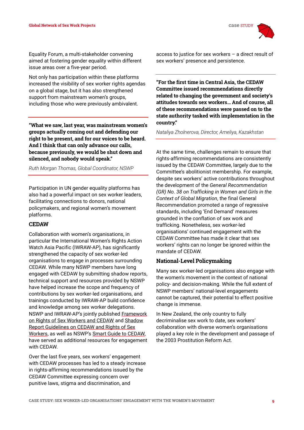

Equality Forum, a multi-stakeholder convening aimed at fostering gender equality within different issue areas over a five-year period.

Not only has participation within these platforms increased the visibility of sex worker rights agendas on a global stage, but it has also strengthened support from mainstream women's groups, including those who were previously ambivalent.

**"What we saw, last year, was mainstream women's groups actually coming out and defending our right to be present, and for our voices to be heard. And I think that can only advance our calls, because previously, we would be shut down and silenced, and nobody would speak."** 

*Ruth Morgan Thomas, Global Coordinator, NSWP* 

Participation in UN gender equality platforms has also had a powerful impact on sex worker leaders, facilitating connections to donors, national policymakers, and regional women's movement platforms.

#### **CEDAW**

Collaboration with women's organisations, in particular the International Women's Rights Action Watch Asia Pacific (IWRAW-AP), has significantly strengthened the capacity of sex worker-led organisations to engage in processes surrounding CEDAW. While many NSWP members have long engaged with CEDAW by submitting shadow reports, technical support and resources provided by NSWP have helped increase the scope and frequency of contributions by sex worker-led organisations, and trainings conducted by IWRAW-AP build confidence and knowledge among sex worker delegations. NSWP and IWRAW-AP's jointly published [Framework](https://www.nswp.org/resource/other-publications/framework-rights-sex-workers-and-cedaw)  [on Rights of Sex Workers and CEDAW](https://www.nswp.org/resource/other-publications/framework-rights-sex-workers-and-cedaw) and Shadow [Report Guidelines on CEDAW and Rights of Sex](https://www.nswp.org/resource/other-publications/shadow-report-guidelines-cedaw-and-rights-sex-workers)  [Workers,](https://www.nswp.org/resource/other-publications/shadow-report-guidelines-cedaw-and-rights-sex-workers) as well as NSWP's [Smart Guide to CEDAW,](https://www.nswp.org/resource/nswp-smart-guides/smart-guide-cedaw)  have served as additional resources for engagement with CEDAW.

Over the last five years, sex workers' engagement with CEDAW processes has led to a steady increase in rights-affirming recommendations issued by the CEDAW Committee expressing concern over punitive laws, stigma and discrimination, and

access to justice for sex workers  $-$  a direct result of sex workers' presence and persistence.

**"For the first time in Central Asia, the CEDAW Committee issued recommendations directly related to changing the government and society's attitudes towards sex workers… And of course, all of these recommendations were passed on to the state authority tasked with implementation in the country."**

*Nataliya Zholnerova, Director, Ameliya, Kazakhstan* 

At the same time, challenges remain to ensure that rights-affirming recommendations are consistently issued by the CEDAW Committee, largely due to the Committee's abolitionist membership. For example, despite sex workers' active contributions throughout the development of the *General Recommendation (GR) No. 38 on Trafficking in Women and Girls in the Context of Global Migration*, the final General Recommendation promoted a range of regressive standards, including 'End Demand' measures grounded in the conflation of sex work and trafficking. Nonetheless, sex worker-led organisations' continued engagement with the CEDAW Committee has made it clear that sex workers' rights can no longer be ignored within the mandate of CEDAW.

#### **National-Level Policymaking**

Many sex worker-led organisations also engage with the women's movement in the context of national policy- and decision-making. While the full extent of NSWP members' national-level engagements cannot be captured, their potential to effect positive change is immense.

In New Zealand, the only country to fully decriminalise sex work to date, sex workers' collaboration with diverse women's organisations played a key role in the development and passage of the 2003 Prostitution Reform Act.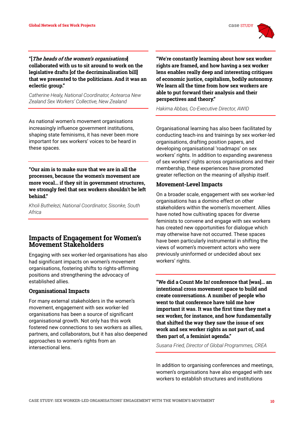**"[The heads of the women's organisations] collaborated with us to sit around to work on the legislative drafts [of the decriminalisation bill] that we presented to the politicians. And it was an eclectic group."** 

*Catherine Healy, National Coordinator, Aotearoa New Zealand Sex Workers' Collective, New Zealand*

As national women's movement organisations increasingly influence government institutions, shaping state feminisms, it has never been more important for sex workers' voices to be heard in these spaces.

**"Our aim is to make sure that we are in all the processes, because the women's movement are more vocal… if they sit in government structures, we strongly feel that sex workers shouldn't be left behind."**

*Kholi Buthelezi, National Coordinator, Sisonke, South Africa*

#### **Impacts of Engagement for Women's Movement Stakeholders**

Engaging with sex worker-led organisations has also had significant impacts on women's movement organisations, fostering shifts to rights-affirming positions and strengthening the advocacy of established allies.

#### **Organisational Impacts**

For many external stakeholders in the women's movement, engagement with sex worker-led organisations has been a source of significant organisational growth. Not only has this work fostered new connections to sex workers as allies, partners, and collaborators, but it has also deepened approaches to women's rights from an intersectional lens.

**"We're constantly learning about how sex worker rights are framed, and how having a sex worker lens enables really deep and interesting critiques of economic justice, capitalism, bodily autonomy. We learn all the time from how sex workers are able to put forward their analysis and their perspectives and theory."** 

*Hakima Abbas, Co-Executive Director, AWID* 

Organisational learning has also been facilitated by conducting teach-ins and trainings by sex worker-led organisations, drafting position papers, and developing organisational 'roadmaps' on sex workers' rights. In addition to expanding awareness of sex workers' rights across organisations and their membership, these experiences have promoted greater reflection on the meaning of allyship itself.

#### **Movement-Level Impacts**

On a broader scale, engagement with sex worker-led organisations has a domino effect on other stakeholders within the women's movement. Allies have noted how cultivating spaces for diverse feminists to convene and engage with sex workers has created new opportunities for dialogue which may otherwise have not occurred. These spaces have been particularly instrumental in shifting the views of women's movement actors who were previously uninformed or undecided about sex workers' rights.

**"We did a Count Me In! conference that [was]… an intentional cross movement space to build and create conversations. A number of people who went to that conference have told me how important it was. It was the first time they met a sex worker, for instance, and how fundamentally that shifted the way they saw the issue of sex work and sex worker rights as not part of, and then part of, a feminist agenda."**

*Susana Fried, Director of Global Programmes, CREA* 

In addition to organising conferences and meetings, women's organisations have also engaged with sex workers to establish structures and institutions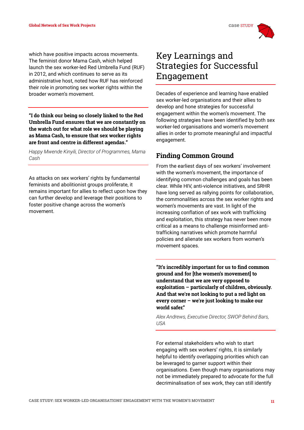which have positive impacts across movements. The feminist donor Mama Cash, which helped launch the sex worker-led Red Umbrella Fund (RUF) in 2012, and which continues to serve as its administrative host, noted how RUF has reinforced their role in promoting sex worker rights within the broader women's movement.

**"I do think our being so closely linked to the Red Umbrella Fund ensures that we are constantly on the watch out for what role we should be playing as Mama Cash, to ensure that sex worker rights are front and centre in different agendas."** 

*Happy Mwende Kinyili, Director of Programmes, Mama Cash*

As attacks on sex workers' rights by fundamental feminists and abolitionist groups proliferate, it remains important for allies to reflect upon how they can further develop and leverage their positions to foster positive change across the women's movement.

# Key Learnings and Strategies for Successful Engagement

Decades of experience and learning have enabled sex worker-led organisations and their allies to develop and hone strategies for successful engagement within the women's movement. The following strategies have been identified by both sex worker-led organisations and women's movement allies in order to promote meaningful and impactful engagement.

# **Finding Common Ground**

From the earliest days of sex workers' involvement with the women's movement, the importance of identifying common challenges and goals has been clear. While HIV, anti-violence initiatives, and SRHR have long served as rallying points for collaboration, the commonalities across the sex worker rights and women's movements are vast. In light of the increasing conflation of sex work with trafficking and exploitation, this strategy has never been more critical as a means to challenge misinformed antitrafficking narratives which promote harmful policies and alienate sex workers from women's movement spaces.

**"It's incredibly important for us to find common ground and for [the women's movement] to understand that we are very opposed to exploitation – particularly of children, obviously. And that we're not looking to put a red light on every corner – we're just looking to make our world safer."**

*Alex Andrews, Executive Director, SWOP Behind Bars, USA* 

For external stakeholders who wish to start engaging with sex workers' rights, it is similarly helpful to identify overlapping priorities which can be leveraged to garner support within their organisations. Even though many organisations may not be immediately prepared to advocate for the full decriminalisation of sex work, they can still identify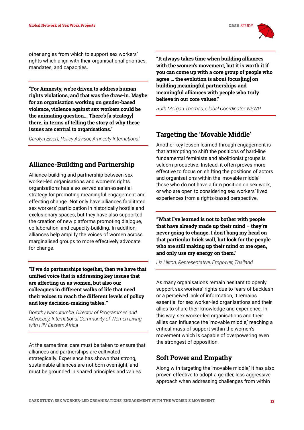other angles from which to support sex workers' rights which align with their organisational priorities, mandates, and capacities.

**"For Amnesty, we're driven to address human rights violations, and that was the draw-in. Maybe for an organisation working on gender-based violence, violence against sex workers could be the animating question... There's [a strategy] there, in terms of telling the story of why these issues are central to organisations."**

*Carolyn Eisert, Policy Advisor, Amnesty International* 

## **Alliance-Building and Partnership**

Alliance-building and partnership between sex worker-led organisations and women's rights organisations has also served as an essential strategy for promoting meaningful engagement and effecting change. Not only have alliances facilitated sex workers' participation in historically hostile and exclusionary spaces, but they have also supported the creation of new platforms promoting dialogue, collaboration, and capacity-building. In addition, alliances help amplify the voices of women across marginalised groups to more effectively advocate for change.

**"If we do partnerships together, then we have that unified voice that is addressing key issues that are affecting us as women, but also our colleagues in different walks of life that need their voices to reach the different levels of policy and key decision-making tables."**

*Dorothy Namutamba, Director of Programmes and Advocacy, International Community of Women Living with HIV Eastern Africa*

At the same time, care must be taken to ensure that alliances and partnerships are cultivated strategically. Experience has shown that strong, sustainable alliances are not born overnight, and must be grounded in shared principles and values.

**"It always takes time when building alliances with the women's movement, but it is worth it if you can come up with a core group of people who agree … the evolution is about focus[ing] on building meaningful partnerships and meaningful alliances with people who truly believe in our core values."**

*Ruth Morgan Thomas, Global Coordinator, NSWP* 

## **Targeting the 'Movable Middle'**

Another key lesson learned through engagement is that attempting to shift the positions of hard-line fundamental feminists and abolitionist groups is seldom productive. Instead, it often proves more effective to focus on shifting the positions of actors and organisations within the 'movable middle' – those who do not have a firm position on sex work, or who are open to considering sex workers' lived experiences from a rights-based perspective.

**"What I've learned is not to bother with people that have already made up their mind – they're never going to change. I don't bang my head on that particular brick wall, but look for the people who are still making up their mind or are open, and only use my energy on them."**

*Liz Hilton, Representative, Empower, Thailand* 

As many organisations remain hesitant to openly support sex workers' rights due to fears of backlash or a perceived lack of information, it remains essential for sex worker-led organisations and their allies to share their knowledge and experience. In this way, sex worker-led organisations and their allies can influence the 'movable middle,' reaching a critical mass of support within the women's movement which is capable of overpowering even the strongest of opposition.

## **Soft Power and Empathy**

Along with targeting the 'movable middle,' it has also proven effective to adopt a gentler, less aggressive approach when addressing challenges from within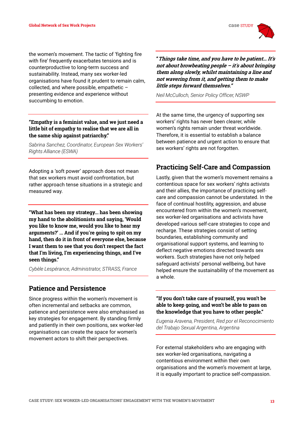

the women's movement. The tactic of 'fighting fire with fire' frequently exacerbates tensions and is counterproductive to long-term success and sustainability. Instead, many sex worker-led organisations have found it prudent to remain calm, collected, and where possible, empathetic – presenting evidence and experience without succumbing to emotion.

#### **"Empathy is a feminist value, and we just need a little bit of empathy to realise that we are all in the same ship against patriarchy."**

*Sabrina Sanchez, Coordinator, European Sex Workers' Rights Alliance (ESWA)* 

Adopting a 'soft power' approach does not mean that sex workers must avoid confrontation, but rather approach tense situations in a strategic and measured way.

**"What has been my strategy... has been showing my hand to the abolitionists and saying, 'Would you like to know me, would you like to hear my arguments?' ... And if you're going to spit on my hand, then do it in front of everyone else, because I want them to see that you don't respect the fact that I'm living, I'm experiencing things, and I've seen things."**

*Cybèle Lespérance, Administrator, STRASS, France* 

#### **Patience and Persistence**

Since progress within the women's movement is often incremental and setbacks are common, patience and persistence were also emphasised as key strategies for engagement. By standing firmly and patiently in their own positions, sex worker-led organisations can create the space for women's movement actors to shift their perspectives.

**"Things take time, and you have to be patient… It's not about browbeating people – it's about bringing them along slowly, whilst maintaining a line and not wavering from it, and getting them to make little steps forward themselves."**

*Neil McCulloch, Senior Policy Officer, NSWP* 

At the same time, the urgency of supporting sex workers' rights has never been clearer, while women's rights remain under threat worldwide. Therefore, it is essential to establish a balance between patience and urgent action to ensure that sex workers' rights are not forgotten.

### **Practicing Self-Care and Compassion**

Lastly, given that the women's movement remains a contentious space for sex workers' rights activists and their allies, the importance of practicing selfcare and compassion cannot be understated. In the face of continual hostility, aggression, and abuse encountered from within the women's movement, sex worker-led organisations and activists have developed various self-care strategies to cope and recharge. These strategies consist of setting boundaries, establishing community and organisational support systems, and learning to deflect negative emotions directed towards sex workers. Such strategies have not only helped safeguard activists' personal wellbeing, but have helped ensure the sustainability of the movement as a whole.

#### **"If you don't take care of yourself, you won't be able to keep going, and won't be able to pass on the knowledge that you have to other people."**

*Eugenia Aravena, President, Red por el Reconocimiento del Trabajo Sexual Argentina, Argentina* 

For external stakeholders who are engaging with sex worker-led organisations, navigating a contentious environment within their own organisations and the women's movement at large, it is equally important to practice self-compassion.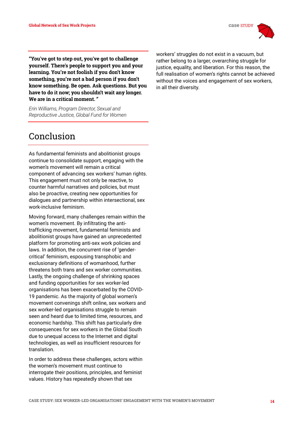

**"You've got to step out, you've got to challenge yourself. There's people to support you and your learning. You're not foolish if you don't know something, you're not a bad person if you don't know something. Be open. Ask questions. But you have to do it now; you shouldn't wait any longer. We are in a critical moment."**

*Erin Williams, Program Director, Sexual and Reproductive Justice, Global Fund for Women* 

# Conclusion

As fundamental feminists and abolitionist groups continue to consolidate support, engaging with the women's movement will remain a critical component of advancing sex workers' human rights. This engagement must not only be reactive, to counter harmful narratives and policies, but must also be proactive, creating new opportunities for dialogues and partnership within intersectional, sex work-inclusive feminism.

Moving forward, many challenges remain within the women's movement. By infiltrating the antitrafficking movement, fundamental feminists and abolitionist groups have gained an unprecedented platform for promoting anti-sex work policies and laws. In addition, the concurrent rise of 'gendercritical' feminism, espousing transphobic and exclusionary definitions of womanhood, further threatens both trans and sex worker communities. Lastly, the ongoing challenge of shrinking spaces and funding opportunities for sex worker-led organisations has been exacerbated by the COVID-19 pandemic. As the majority of global women's movement convenings shift online, sex workers and sex worker-led organisations struggle to remain seen and heard due to limited time, resources, and economic hardship. This shift has particularly dire consequences for sex workers in the Global South due to unequal access to the Internet and digital technologies, as well as insufficient resources for translation.

In order to address these challenges, actors within the women's movement must continue to interrogate their positions, principles, and feminist values. History has repeatedly shown that sex

workers' struggles do not exist in a vacuum, but rather belong to a larger, overarching struggle for justice, equality, and liberation. For this reason, the full realisation of women's rights cannot be achieved without the voices and engagement of sex workers, in all their diversity.